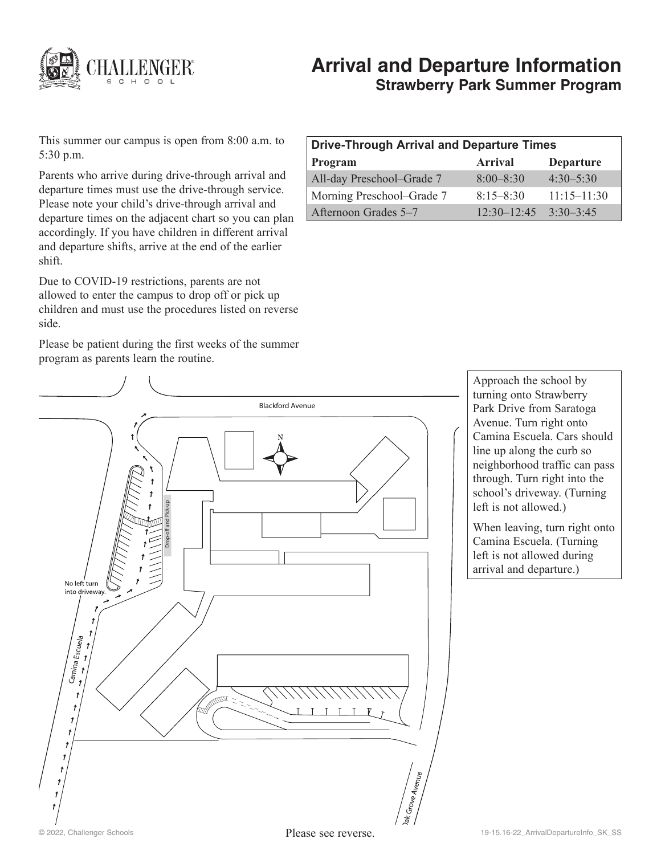

# **Arrival and Departure Information Strawberry Park Summer Program**

This summer our campus is open from 8:00 a.m. to 5:30 p.m.

Parents who arrive during drive-through arrival and departure times must use the drive-through service. Please note your child's drive-through arrival and departure times on the adjacent chart so you can plan accordingly. If you have children in different arrival and departure shifts, arrive at the end of the earlier shift.

Due to COVID-19 restrictions, parents are not allowed to enter the campus to drop off or pick up children and must use the procedures listed on reverse side.

Please be patient during the first weeks of the summer program as parents learn the routine.

| <b>Drive-Through Arrival and Departure Times</b> |                 |                  |
|--------------------------------------------------|-----------------|------------------|
| Program                                          | <b>Arrival</b>  | <b>Departure</b> |
| All-day Preschool-Grade 7                        | $8:00 - 8:30$   | $4.30 - 5.30$    |
| Morning Preschool–Grade 7                        | $8:15 - 8:30$   | $11:15 - 11:30$  |
| Afternoon Grades 5–7                             | $12.30 - 12.45$ | $3:30-3:45$      |



Approach the school by turning onto Strawberry Park Drive from Saratoga Avenue. Turn right onto Camina Escuela. Cars should line up along the curb so neighborhood traffic can pass through. Turn right into the school's driveway. (Turning left is not allowed.)

When leaving, turn right onto Camina Escuela. (Turning left is not allowed during arrival and departure.)